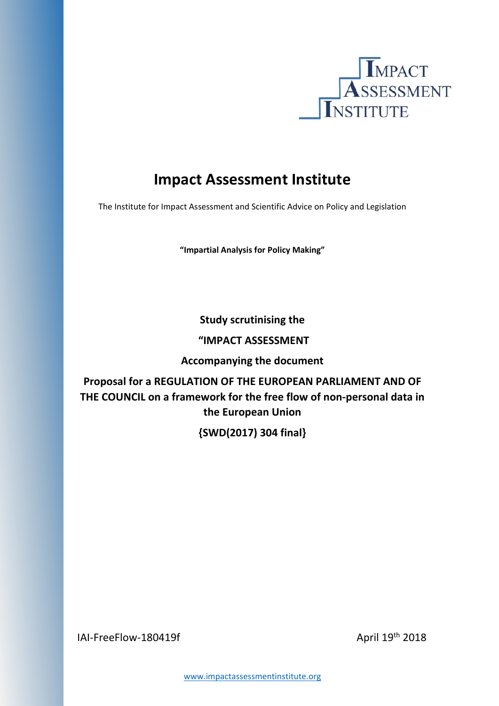

# **Impact Assessment Institute**

The Institute for Impact Assessment and Scientific Advice on Policy and Legislation

**"Impartial Analysis for Policy Making"**

**Study scrutinising the**

## **"IMPACT ASSESSMENT**

**Accompanying the document**

**Proposal for a REGULATION OF THE EUROPEAN PARLIAMENT AND OF THE COUNCIL on a framework for the free flow of non-personal data in the European Union**

**{SWD(2017) 304 final}** 

 $|A|$ -FreeFlow-180419f April 19th 2018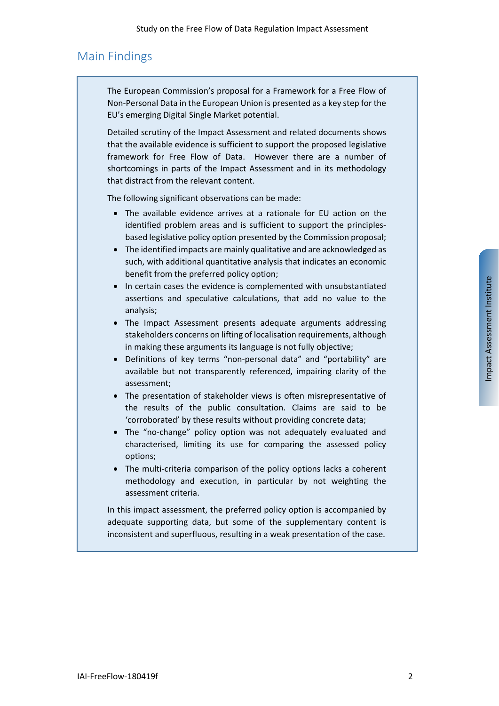# <span id="page-1-0"></span>Main Findings

The European Commission's proposal for a Framework for a Free Flow of Non-Personal Data in the European Union is presented as a key step for the EU's emerging Digital Single Market potential.

Detailed scrutiny of the Impact Assessment and related documents shows that the available evidence is sufficient to support the proposed legislative framework for Free Flow of Data. However there are a number of shortcomings in parts of the Impact Assessment and in its methodology that distract from the relevant content.

The following significant observations can be made:

- The available evidence arrives at a rationale for EU action on the identified problem areas and is sufficient to support the principlesbased legislative policy option presented by the Commission proposal;
- The identified impacts are mainly qualitative and are acknowledged as such, with additional quantitative analysis that indicates an economic benefit from the preferred policy option;
- In certain cases the evidence is complemented with unsubstantiated assertions and speculative calculations, that add no value to the analysis;
- The Impact Assessment presents adequate arguments addressing stakeholders concerns on lifting of localisation requirements, although in making these arguments its language is not fully objective;
- Definitions of key terms "non-personal data" and "portability" are available but not transparently referenced, impairing clarity of the assessment;
- The presentation of stakeholder views is often misrepresentative of the results of the public consultation. Claims are said to be 'corroborated' by these results without providing concrete data;
- The "no-change" policy option was not adequately evaluated and characterised, limiting its use for comparing the assessed policy options;
- The multi-criteria comparison of the policy options lacks a coherent methodology and execution, in particular by not weighting the assessment criteria.

In this impact assessment, the preferred policy option is accompanied by adequate supporting data, but some of the supplementary content is inconsistent and superfluous, resulting in a weak presentation of the case.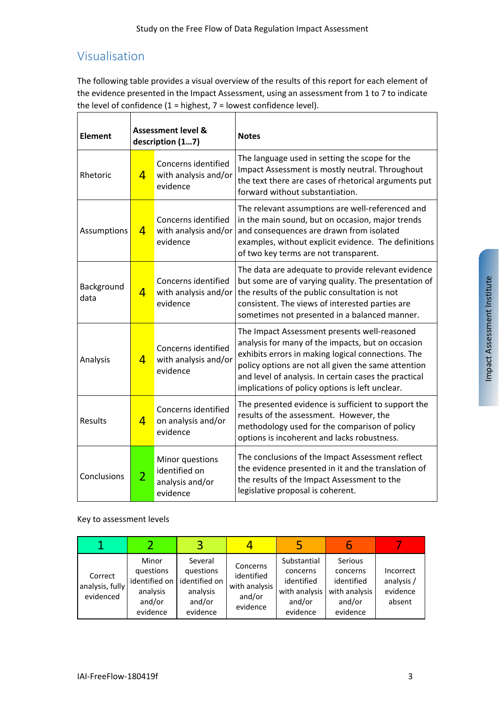# <span id="page-2-0"></span>Visualisation

The following table provides a visual overview of the results of this report for each element of the evidence presented in the Impact Assessment, using an assessment from 1 to 7 to indicate the level of confidence  $(1 =$  highest,  $7 =$  lowest confidence level).

| <b>Element</b>     | <b>Assessment level &amp;</b><br>description (17) |                                                                 | <b>Notes</b>                                                                                                                                                                                                                                                                                                               |  |
|--------------------|---------------------------------------------------|-----------------------------------------------------------------|----------------------------------------------------------------------------------------------------------------------------------------------------------------------------------------------------------------------------------------------------------------------------------------------------------------------------|--|
| Rhetoric           | $\overline{4}$                                    | Concerns identified<br>with analysis and/or<br>evidence         | The language used in setting the scope for the<br>Impact Assessment is mostly neutral. Throughout<br>the text there are cases of rhetorical arguments put<br>forward without substantiation.                                                                                                                               |  |
| Assumptions        | $\overline{4}$                                    | Concerns identified<br>with analysis and/or<br>evidence         | The relevant assumptions are well-referenced and<br>in the main sound, but on occasion, major trends<br>and consequences are drawn from isolated<br>examples, without explicit evidence. The definitions<br>of two key terms are not transparent.                                                                          |  |
| Background<br>data | $\overline{4}$                                    | Concerns identified<br>with analysis and/or<br>evidence         | The data are adequate to provide relevant evidence<br>but some are of varying quality. The presentation of<br>the results of the public consultation is not<br>consistent. The views of interested parties are<br>sometimes not presented in a balanced manner.                                                            |  |
| Analysis           | $\overline{4}$                                    | Concerns identified<br>with analysis and/or<br>evidence         | The Impact Assessment presents well-reasoned<br>analysis for many of the impacts, but on occasion<br>exhibits errors in making logical connections. The<br>policy options are not all given the same attention<br>and level of analysis. In certain cases the practical<br>implications of policy options is left unclear. |  |
| <b>Results</b>     | $\overline{4}$                                    | Concerns identified<br>on analysis and/or<br>evidence           | The presented evidence is sufficient to support the<br>results of the assessment. However, the<br>methodology used for the comparison of policy<br>options is incoherent and lacks robustness.                                                                                                                             |  |
| Conclusions        | $\overline{2}$                                    | Minor questions<br>identified on<br>analysis and/or<br>evidence | The conclusions of the Impact Assessment reflect<br>the evidence presented in it and the translation of<br>the results of the Impact Assessment to the<br>legislative proposal is coherent.                                                                                                                                |  |

#### Key to assessment levels

| Correct<br>analysis, fully<br>evidenced | Minor<br>questions<br>identified on<br>analysis<br>and/or<br>evidence | Several<br>questions<br>identified on<br>analysis<br>and/or<br>evidence | Concerns<br>identified<br>with analysis<br>and/or<br>evidence | Substantial<br>concerns<br>identified<br>with analysis<br>and/or<br>evidence | Serious<br>concerns<br>identified<br>with analysis<br>and/or<br>evidence | Incorrect<br>analysis /<br>evidence<br>absent |
|-----------------------------------------|-----------------------------------------------------------------------|-------------------------------------------------------------------------|---------------------------------------------------------------|------------------------------------------------------------------------------|--------------------------------------------------------------------------|-----------------------------------------------|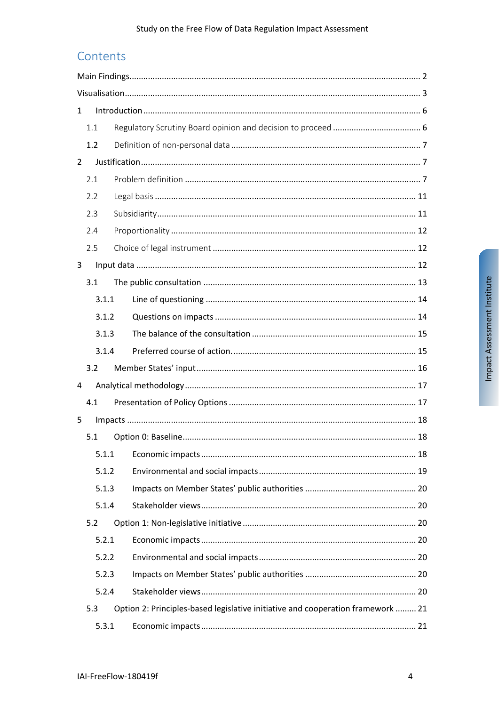# Contents

| $\mathbf{1}$   |     |       |                                                                                 |  |
|----------------|-----|-------|---------------------------------------------------------------------------------|--|
|                | 1.1 |       |                                                                                 |  |
|                | 1.2 |       |                                                                                 |  |
| $\overline{2}$ |     |       |                                                                                 |  |
|                | 2.1 |       |                                                                                 |  |
|                | 2.2 |       |                                                                                 |  |
|                | 2.3 |       |                                                                                 |  |
|                | 2.4 |       |                                                                                 |  |
|                | 2.5 |       |                                                                                 |  |
| 3              |     |       |                                                                                 |  |
|                | 3.1 |       |                                                                                 |  |
|                |     | 3.1.1 |                                                                                 |  |
|                |     | 3.1.2 |                                                                                 |  |
|                |     | 3.1.3 |                                                                                 |  |
|                |     | 3.1.4 |                                                                                 |  |
|                | 3.2 |       |                                                                                 |  |
| 4              |     |       |                                                                                 |  |
|                | 4.1 |       |                                                                                 |  |
| 5              |     |       |                                                                                 |  |
|                | 5.1 |       |                                                                                 |  |
|                |     | 5.1.1 |                                                                                 |  |
|                |     | 5.1.2 |                                                                                 |  |
|                |     | 5.1.3 |                                                                                 |  |
|                |     | 5.1.4 |                                                                                 |  |
|                | 5.2 |       |                                                                                 |  |
|                |     | 5.2.1 |                                                                                 |  |
|                |     | 5.2.2 |                                                                                 |  |
|                |     | 5.2.3 |                                                                                 |  |
|                |     | 5.2.4 |                                                                                 |  |
|                | 5.3 |       | Option 2: Principles-based legislative initiative and cooperation framework  21 |  |
|                |     | 5.3.1 |                                                                                 |  |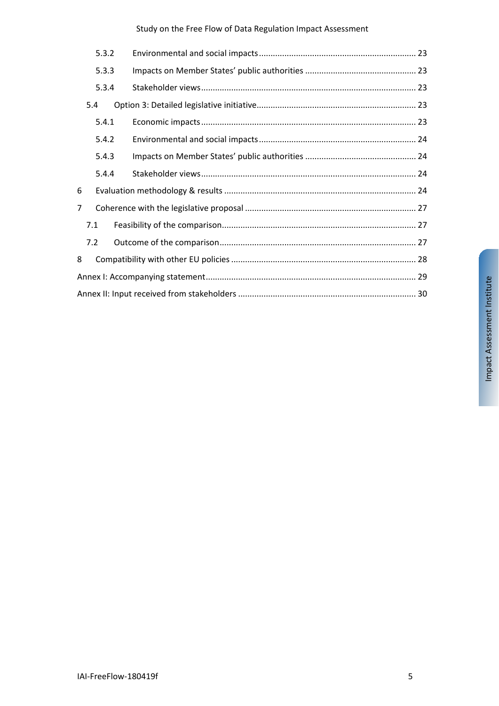Study on the Free Flow of Data Regulation Impact Assessment

|                | 5.3.2 |  |  |  |  |
|----------------|-------|--|--|--|--|
|                | 5.3.3 |  |  |  |  |
|                | 5.3.4 |  |  |  |  |
|                | 5.4   |  |  |  |  |
|                | 5.4.1 |  |  |  |  |
|                | 5.4.2 |  |  |  |  |
|                | 5.4.3 |  |  |  |  |
|                | 5.4.4 |  |  |  |  |
| 6              |       |  |  |  |  |
| $\overline{7}$ |       |  |  |  |  |
|                | 7.1   |  |  |  |  |
|                | 7.2   |  |  |  |  |
| 8              |       |  |  |  |  |
|                |       |  |  |  |  |
|                |       |  |  |  |  |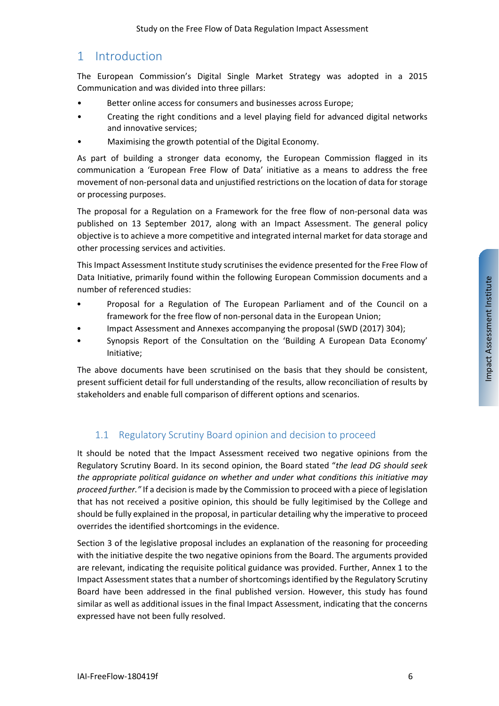# <span id="page-5-0"></span>1 Introduction

The European Commission's Digital Single Market Strategy was adopted in a 2015 Communication and was divided into three pillars:

- Better online access for consumers and businesses across Europe;
- Creating the right conditions and a level playing field for advanced digital networks and innovative services;
- Maximising the growth potential of the Digital Economy.

As part of building a stronger data economy, the European Commission flagged in its communication a 'European Free Flow of Data' initiative as a means to address the free movement of non-personal data and unjustified restrictions on the location of data for storage or processing purposes.

The proposal for a Regulation on a Framework for the free flow of non-personal data was published on 13 September 2017, along with an Impact Assessment. The general policy objective is to achieve a more competitive and integrated internal market for data storage and other processing services and activities.

This Impact Assessment Institute study scrutinises the evidence presented for the Free Flow of Data Initiative, primarily found within the following European Commission documents and a number of referenced studies:

- Proposal for a Regulation of The European Parliament and of the Council on a framework for the free flow of non-personal data in the European Union;
- Impact Assessment and Annexes accompanying the proposal (SWD (2017) 304);
- Synopsis Report of the Consultation on the 'Building A European Data Economy' Initiative;

The above documents have been scrutinised on the basis that they should be consistent, present sufficient detail for full understanding of the results, allow reconciliation of results by stakeholders and enable full comparison of different options and scenarios.

## <span id="page-5-1"></span>1.1 Regulatory Scrutiny Board opinion and decision to proceed

It should be noted that the Impact Assessment received two negative opinions from the Regulatory Scrutiny Board. In its second opinion, the Board stated "*the lead DG should seek the appropriate political guidance on whether and under what conditions this initiative may proceed further."* If a decision is made by the Commission to proceed with a piece of legislation that has not received a positive opinion, this should be fully legitimised by the College and should be fully explained in the proposal, in particular detailing why the imperative to proceed overrides the identified shortcomings in the evidence.

Section 3 of the legislative proposal includes an explanation of the reasoning for proceeding with the initiative despite the two negative opinions from the Board. The arguments provided are relevant, indicating the requisite political guidance was provided. Further, Annex 1 to the Impact Assessment states that a number of shortcomings identified by the Regulatory Scrutiny Board have been addressed in the final published version. However, this study has found similar as well as additional issues in the final Impact Assessment, indicating that the concerns expressed have not been fully resolved.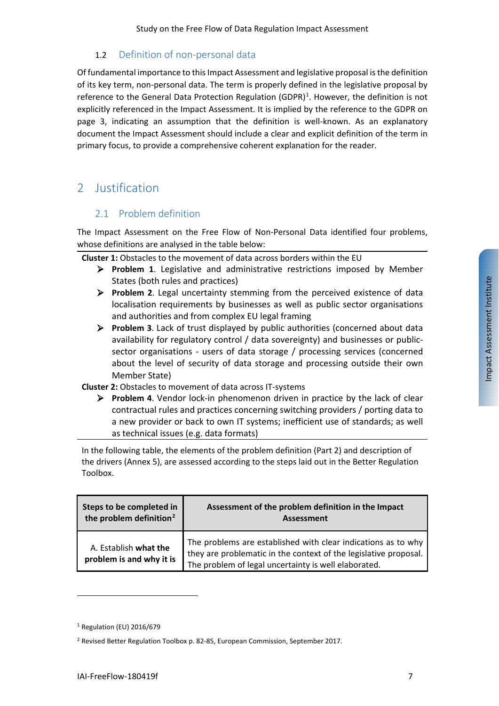## <span id="page-6-0"></span>1.2 Definition of non-personal data

Of fundamental importance to this Impact Assessment and legislative proposal is the definition of its key term, non-personal data. The term is properly defined in the legislative proposal by reference to the General Data Protection Regulation (GDPR)<sup>[1](#page-6-3)</sup>. However, the definition is not explicitly referenced in the Impact Assessment. It is implied by the reference to the GDPR on page 3, indicating an assumption that the definition is well-known. As an explanatory document the Impact Assessment should include a clear and explicit definition of the term in primary focus, to provide a comprehensive coherent explanation for the reader.

# <span id="page-6-2"></span><span id="page-6-1"></span>2 Justification

## 2.1 Problem definition

The Impact Assessment on the Free Flow of Non-Personal Data identified four problems, whose definitions are analysed in the table below:

**Cluster 1:** Obstacles to the movement of data across borders within the EU

- **Problem 1**. Legislative and administrative restrictions imposed by Member States (both rules and practices)
- **Problem 2**. Legal uncertainty stemming from the perceived existence of data localisation requirements by businesses as well as public sector organisations and authorities and from complex EU legal framing
- **Problem 3**. Lack of trust displayed by public authorities (concerned about data availability for regulatory control / data sovereignty) and businesses or publicsector organisations - users of data storage / processing services (concerned about the level of security of data storage and processing outside their own Member State)

#### **Cluster 2:** Obstacles to movement of data across IT-systems

 **Problem 4**. Vendor lock-in phenomenon driven in practice by the lack of clear contractual rules and practices concerning switching providers / porting data to a new provider or back to own IT systems; inefficient use of standards; as well as technical issues (e.g. data formats)

In the following table, the elements of the problem definition (Part 2) and description of the drivers (Annex 5), are assessed according to the steps laid out in the Better Regulation Toolbox.

| Steps to be completed in                          | Assessment of the problem definition in the Impact                                                                                                                                        |
|---------------------------------------------------|-------------------------------------------------------------------------------------------------------------------------------------------------------------------------------------------|
| the problem definition <sup>2</sup>               | <b>Assessment</b>                                                                                                                                                                         |
| A. Establish what the<br>problem is and why it is | The problems are established with clear indications as to why<br>they are problematic in the context of the legislative proposal.<br>The problem of legal uncertainty is well elaborated. |

<span id="page-6-3"></span><sup>1</sup> Regulation (EU) 2016/679

<span id="page-6-4"></span><sup>2</sup> Revised Better Regulation Toolbox p. 82-85, European Commission, September 2017.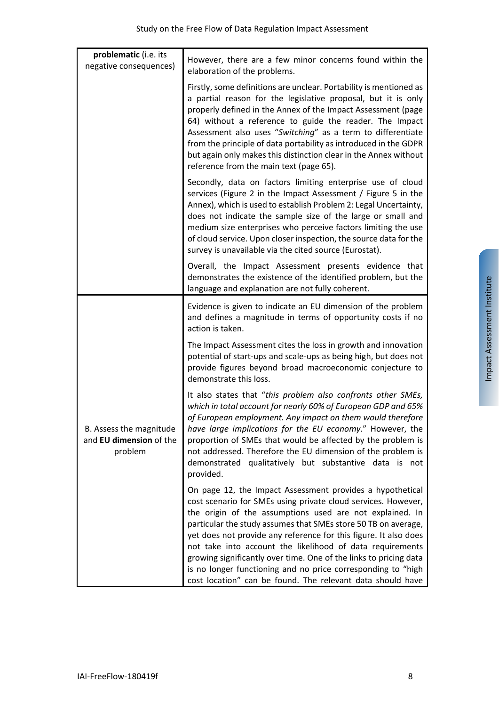| problematic (i.e. its<br>negative consequences)               | However, there are a few minor concerns found within the<br>elaboration of the problems.                                                                                                                                                                                                                                                                                                                                                                                                                         |
|---------------------------------------------------------------|------------------------------------------------------------------------------------------------------------------------------------------------------------------------------------------------------------------------------------------------------------------------------------------------------------------------------------------------------------------------------------------------------------------------------------------------------------------------------------------------------------------|
|                                                               | Firstly, some definitions are unclear. Portability is mentioned as<br>a partial reason for the legislative proposal, but it is only<br>properly defined in the Annex of the Impact Assessment (page<br>64) without a reference to guide the reader. The Impact<br>Assessment also uses "Switching" as a term to differentiate<br>from the principle of data portability as introduced in the GDPR<br>but again only makes this distinction clear in the Annex without<br>reference from the main text (page 65). |
|                                                               | Secondly, data on factors limiting enterprise use of cloud<br>services (Figure 2 in the Impact Assessment / Figure 5 in the<br>Annex), which is used to establish Problem 2: Legal Uncertainty,<br>does not indicate the sample size of the large or small and<br>medium size enterprises who perceive factors limiting the use<br>of cloud service. Upon closer inspection, the source data for the<br>survey is unavailable via the cited source (Eurostat).                                                   |
|                                                               | Overall, the Impact Assessment presents evidence that<br>demonstrates the existence of the identified problem, but the<br>language and explanation are not fully coherent.                                                                                                                                                                                                                                                                                                                                       |
|                                                               | Evidence is given to indicate an EU dimension of the problem<br>and defines a magnitude in terms of opportunity costs if no<br>action is taken.                                                                                                                                                                                                                                                                                                                                                                  |
|                                                               |                                                                                                                                                                                                                                                                                                                                                                                                                                                                                                                  |
|                                                               | The Impact Assessment cites the loss in growth and innovation<br>potential of start-ups and scale-ups as being high, but does not<br>provide figures beyond broad macroeconomic conjecture to<br>demonstrate this loss.                                                                                                                                                                                                                                                                                          |
| B. Assess the magnitude<br>and EU dimension of the<br>problem | It also states that "this problem also confronts other SMEs,<br>which in total account for nearly 60% of European GDP and 65%<br>of European employment. Any impact on them would therefore<br>have large implications for the EU economy." However, the<br>proportion of SMEs that would be affected by the problem is<br>not addressed. Therefore the EU dimension of the problem is<br>demonstrated qualitatively but substantive data is not<br>provided.                                                    |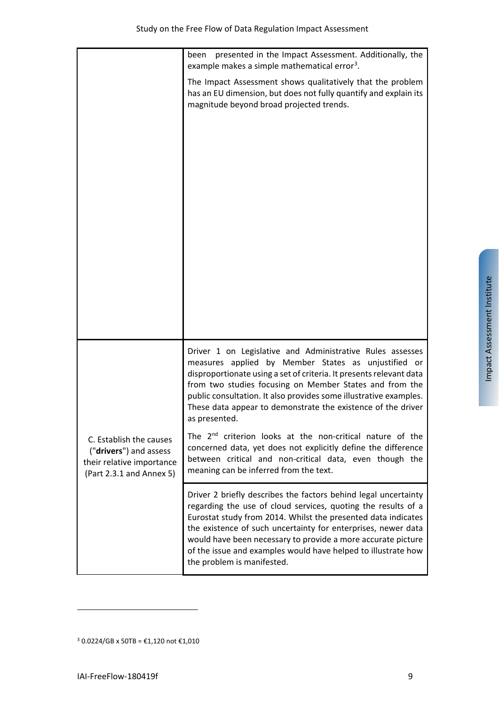|                                                                                                            | presented in the Impact Assessment. Additionally, the<br>been<br>example makes a simple mathematical error <sup>3</sup> .                                                                                                                                                                                                                                                                                                         |
|------------------------------------------------------------------------------------------------------------|-----------------------------------------------------------------------------------------------------------------------------------------------------------------------------------------------------------------------------------------------------------------------------------------------------------------------------------------------------------------------------------------------------------------------------------|
|                                                                                                            | The Impact Assessment shows qualitatively that the problem<br>has an EU dimension, but does not fully quantify and explain its<br>magnitude beyond broad projected trends.                                                                                                                                                                                                                                                        |
|                                                                                                            |                                                                                                                                                                                                                                                                                                                                                                                                                                   |
|                                                                                                            | Driver 1 on Legislative and Administrative Rules assesses<br>measures applied by Member States as unjustified or<br>disproportionate using a set of criteria. It presents relevant data<br>from two studies focusing on Member States and from the<br>public consultation. It also provides some illustrative examples.<br>These data appear to demonstrate the existence of the driver<br>as presented.                          |
| C. Establish the causes<br>("drivers") and assess<br>their relative importance<br>(Part 2.3.1 and Annex 5) | The 2 <sup>nd</sup> criterion looks at the non-critical nature of the<br>concerned data, yet does not explicitly define the difference<br>between critical and non-critical data, even though the<br>meaning can be inferred from the text.                                                                                                                                                                                       |
|                                                                                                            | Driver 2 briefly describes the factors behind legal uncertainty<br>regarding the use of cloud services, quoting the results of a<br>Eurostat study from 2014. Whilst the presented data indicates<br>the existence of such uncertainty for enterprises, newer data<br>would have been necessary to provide a more accurate picture<br>of the issue and examples would have helped to illustrate how<br>the problem is manifested. |

l

<span id="page-8-0"></span><sup>&</sup>lt;sup>3</sup> 0.0224/GB x 50TB = €1,120 not €1,010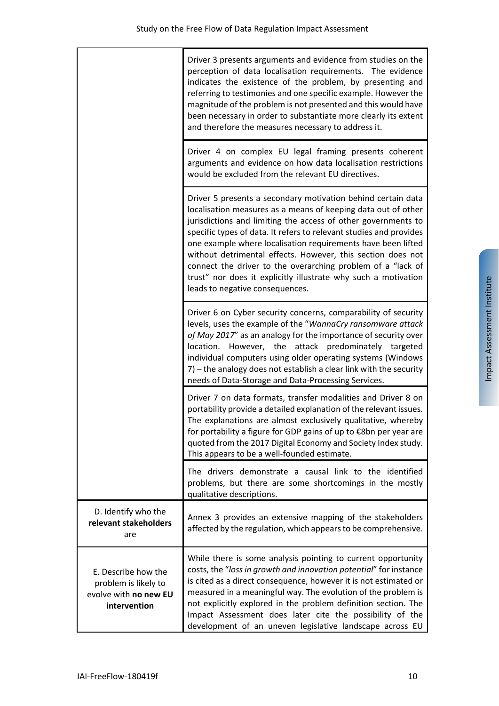|                                                                                      | Driver 3 presents arguments and evidence from studies on the<br>perception of data localisation requirements. The evidence<br>indicates the existence of the problem, by presenting and<br>referring to testimonies and one specific example. However the<br>magnitude of the problem is not presented and this would have<br>been necessary in order to substantiate more clearly its extent<br>and therefore the measures necessary to address it.                                                                                                                    |
|--------------------------------------------------------------------------------------|-------------------------------------------------------------------------------------------------------------------------------------------------------------------------------------------------------------------------------------------------------------------------------------------------------------------------------------------------------------------------------------------------------------------------------------------------------------------------------------------------------------------------------------------------------------------------|
|                                                                                      | Driver 4 on complex EU legal framing presents coherent<br>arguments and evidence on how data localisation restrictions<br>would be excluded from the relevant EU directives.                                                                                                                                                                                                                                                                                                                                                                                            |
|                                                                                      | Driver 5 presents a secondary motivation behind certain data<br>localisation measures as a means of keeping data out of other<br>jurisdictions and limiting the access of other governments to<br>specific types of data. It refers to relevant studies and provides<br>one example where localisation requirements have been lifted<br>without detrimental effects. However, this section does not<br>connect the driver to the overarching problem of a "lack of<br>trust" nor does it explicitly illustrate why such a motivation<br>leads to negative consequences. |
|                                                                                      | Driver 6 on Cyber security concerns, comparability of security<br>levels, uses the example of the "WannaCry ransomware attack<br>of May 2017" as an analogy for the importance of security over<br>location. However, the attack predominately targeted<br>individual computers using older operating systems (Windows<br>7) - the analogy does not establish a clear link with the security<br>needs of Data-Storage and Data-Processing Services.                                                                                                                     |
|                                                                                      | Driver 7 on data formats, transfer modalities and Driver 8 on<br>portability provide a detailed explanation of the relevant issues.<br>The explanations are almost exclusively qualitative, whereby<br>for portability a figure for GDP gains of up to €8bn per year are<br>quoted from the 2017 Digital Economy and Society Index study.<br>This appears to be a well-founded estimate.                                                                                                                                                                                |
|                                                                                      | The drivers demonstrate a causal link to the identified<br>problems, but there are some shortcomings in the mostly<br>qualitative descriptions.                                                                                                                                                                                                                                                                                                                                                                                                                         |
| D. Identify who the<br>relevant stakeholders<br>are                                  | Annex 3 provides an extensive mapping of the stakeholders<br>affected by the regulation, which appears to be comprehensive.                                                                                                                                                                                                                                                                                                                                                                                                                                             |
| E. Describe how the<br>problem is likely to<br>evolve with no new EU<br>intervention | While there is some analysis pointing to current opportunity<br>costs, the "loss in growth and innovation potential" for instance<br>is cited as a direct consequence, however it is not estimated or<br>measured in a meaningful way. The evolution of the problem is<br>not explicitly explored in the problem definition section. The<br>Impact Assessment does later cite the possibility of the<br>development of an uneven legislative landscape across EU                                                                                                        |

 $\Gamma$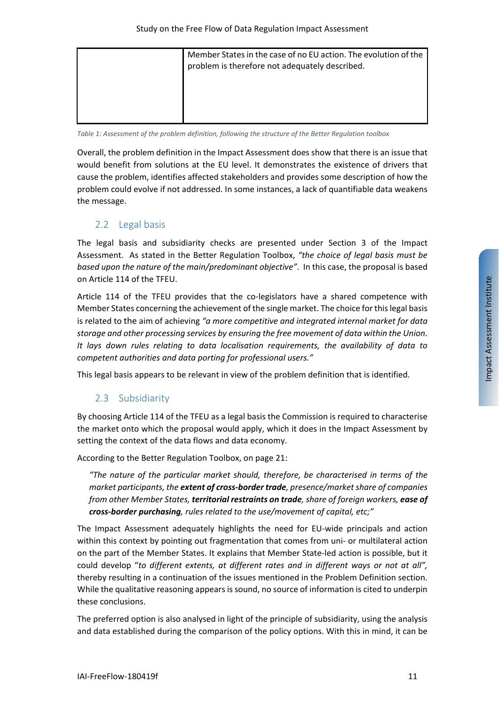| Member States in the case of no EU action. The evolution of the<br>problem is therefore not adequately described. |
|-------------------------------------------------------------------------------------------------------------------|
|                                                                                                                   |

*Table 1: Assessment of the problem definition, following the structure of the Better Regulation toolbox*

Overall, the problem definition in the Impact Assessment does show that there is an issue that would benefit from solutions at the EU level. It demonstrates the existence of drivers that cause the problem, identifies affected stakeholders and provides some description of how the problem could evolve if not addressed. In some instances, a lack of quantifiable data weakens the message.

## <span id="page-10-0"></span>2.2 Legal basis

The legal basis and subsidiarity checks are presented under Section 3 of the Impact Assessment. As stated in the Better Regulation Toolbox, *"the choice of legal basis must be based upon the nature of the main/predominant objective"*. In this case, the proposal is based on Article 114 of the TFEU.

Article 114 of the TFEU provides that the co-legislators have a shared competence with Member States concerning the achievement of the single market. The choice for this legal basis is related to the aim of achieving *"a more competitive and integrated internal market for data storage and other processing services by ensuring the free movement of data within the Union. It lays down rules relating to data localisation requirements, the availability of data to competent authorities and data porting for professional users."*

<span id="page-10-1"></span>This legal basis appears to be relevant in view of the problem definition that is identified.

## 2.3 Subsidiarity

By choosing Article 114 of the TFEU as a legal basis the Commission is required to characterise the market onto which the proposal would apply, which it does in the Impact Assessment by setting the context of the data flows and data economy.

According to the Better Regulation Toolbox, on page 21:

*"The nature of the particular market should, therefore, be characterised in terms of the market participants, the extent of cross-border trade, presence/market share of companies from other Member States, territorial restraints on trade, share of foreign workers, ease of cross-border purchasing, rules related to the use/movement of capital, etc;"*

The Impact Assessment adequately highlights the need for EU-wide principals and action within this context by pointing out fragmentation that comes from uni- or multilateral action on the part of the Member States. It explains that Member State-led action is possible, but it could develop "*to different extents, at different rates and in different ways or not at all",* thereby resulting in a continuation of the issues mentioned in the Problem Definition section. While the qualitative reasoning appears is sound, no source of information is cited to underpin these conclusions.

The preferred option is also analysed in light of the principle of subsidiarity, using the analysis and data established during the comparison of the policy options. With this in mind, it can be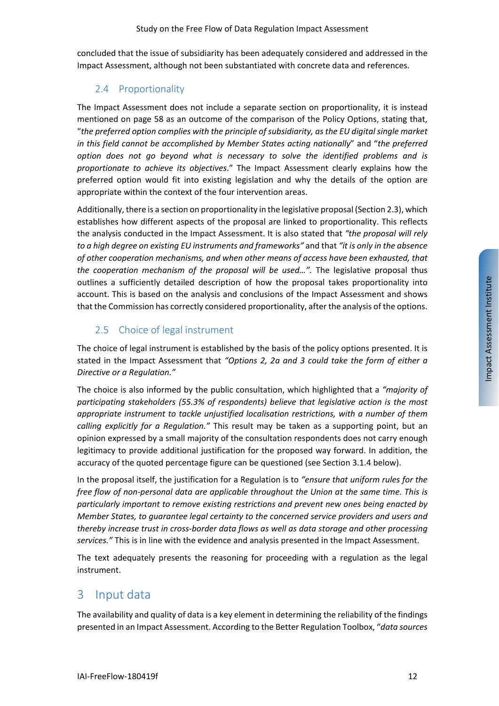concluded that the issue of subsidiarity has been adequately considered and addressed in the Impact Assessment, although not been substantiated with concrete data and references.

## <span id="page-11-0"></span>2.4 Proportionality

The Impact Assessment does not include a separate section on proportionality, it is instead mentioned on page 58 as an outcome of the comparison of the Policy Options, stating that, "*the preferred option complies with the principle of subsidiarity, as the EU digital single market in this field cannot be accomplished by Member States acting nationally*" and "*the preferred option does not go beyond what is necessary to solve the identified problems and is proportionate to achieve its objectives*." The Impact Assessment clearly explains how the preferred option would fit into existing legislation and why the details of the option are appropriate within the context of the four intervention areas.

Additionally, there is a section on proportionality in the legislative proposal (Sectio[n 2.3\)](#page-10-1), which establishes how different aspects of the proposal are linked to proportionality. This reflects the analysis conducted in the Impact Assessment. It is also stated that *"the proposal will rely to a high degree on existing EU instruments and frameworks"* and that *"it is only in the absence of other cooperation mechanisms, and when other means of access have been exhausted, that the cooperation mechanism of the proposal will be used…".* The legislative proposal thus outlines a sufficiently detailed description of how the proposal takes proportionality into account. This is based on the analysis and conclusions of the Impact Assessment and shows that the Commission has correctly considered proportionality, after the analysis of the options.

## <span id="page-11-1"></span>2.5 Choice of legal instrument

The choice of legal instrument is established by the basis of the policy options presented. It is stated in the Impact Assessment that *"Options 2, 2a and 3 could take the form of either a Directive or a Regulation."*

The choice is also informed by the public consultation, which highlighted that a *"majority of participating stakeholders (55.3% of respondents) believe that legislative action is the most appropriate instrument to tackle unjustified localisation restrictions, with a number of them calling explicitly for a Regulation."* This result may be taken as a supporting point, but an opinion expressed by a small majority of the consultation respondents does not carry enough legitimacy to provide additional justification for the proposed way forward. In addition, the accuracy of the quoted percentage figure can be questioned (see Sectio[n 3.1.4](#page-14-1) below).

In the proposal itself, the justification for a Regulation is to *"ensure that uniform rules for the free flow of non-personal data are applicable throughout the Union at the same time. This is particularly important to remove existing restrictions and prevent new ones being enacted by Member States, to guarantee legal certainty to the concerned service providers and users and thereby increase trust in cross-border data flows as well as data storage and other processing services."* This is in line with the evidence and analysis presented in the Impact Assessment.

The text adequately presents the reasoning for proceeding with a regulation as the legal instrument.

# <span id="page-11-2"></span>3 Input data

The availability and quality of data is a key element in determining the reliability of the findings presented in an Impact Assessment. According to the Better Regulation Toolbox, "*data sources*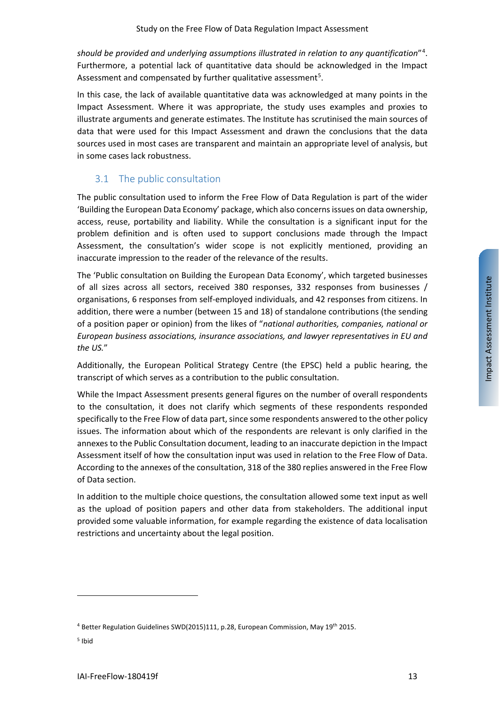*should be provided and underlying assumptions illustrated in relation to any quantification*"[4](#page-12-1) . Furthermore, a potential lack of quantitative data should be acknowledged in the Impact Assessment and compensated by further qualitative assessment<sup>[5](#page-12-2)</sup>.

In this case, the lack of available quantitative data was acknowledged at many points in the Impact Assessment. Where it was appropriate, the study uses examples and proxies to illustrate arguments and generate estimates. The Institute has scrutinised the main sources of data that were used for this Impact Assessment and drawn the conclusions that the data sources used in most cases are transparent and maintain an appropriate level of analysis, but in some cases lack robustness.

## <span id="page-12-0"></span>3.1 The public consultation

The public consultation used to inform the Free Flow of Data Regulation is part of the wider 'Building the European Data Economy' package, which also concerns issues on data ownership, access, reuse, portability and liability. While the consultation is a significant input for the problem definition and is often used to support conclusions made through the Impact Assessment, the consultation's wider scope is not explicitly mentioned, providing an inaccurate impression to the reader of the relevance of the results.

The 'Public consultation on Building the European Data Economy', which targeted businesses of all sizes across all sectors, received 380 responses, 332 responses from businesses / organisations, 6 responses from self-employed individuals, and 42 responses from citizens. In addition, there were a number (between 15 and 18) of standalone contributions (the sending of a position paper or opinion) from the likes of "*national authorities, companies, national or European business associations, insurance associations, and lawyer representatives in EU and the US.*"

Additionally, the European Political Strategy Centre (the EPSC) held a public hearing, the transcript of which serves as a contribution to the public consultation.

While the Impact Assessment presents general figures on the number of overall respondents to the consultation, it does not clarify which segments of these respondents responded specifically to the Free Flow of data part, since some respondents answered to the other policy issues. The information about which of the respondents are relevant is only clarified in the annexes to the Public Consultation document, leading to an inaccurate depiction in the Impact Assessment itself of how the consultation input was used in relation to the Free Flow of Data. According to the annexes of the consultation, 318 of the 380 replies answered in the Free Flow of Data section.

In addition to the multiple choice questions, the consultation allowed some text input as well as the upload of position papers and other data from stakeholders. The additional input provided some valuable information, for example regarding the existence of data localisation restrictions and uncertainty about the legal position.

<span id="page-12-1"></span><sup>&</sup>lt;sup>4</sup> Better Regulation Guidelines SWD(2015)111, p.28, European Commission, May 19<sup>th</sup> 2015.

<span id="page-12-2"></span> $<sup>5</sup>$  Ibid</sup>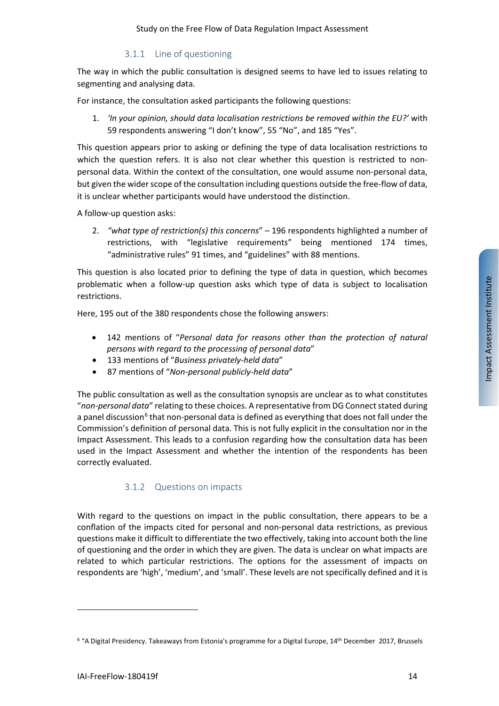#### 3.1.1 Line of questioning

<span id="page-13-0"></span>The way in which the public consultation is designed seems to have led to issues relating to segmenting and analysing data.

For instance, the consultation asked participants the following questions:

1. *'In your opinion, should data localisation restrictions be removed within the EU?'* with 59 respondents answering "I don't know", 55 "No", and 185 "Yes".

This question appears prior to asking or defining the type of data localisation restrictions to which the question refers. It is also not clear whether this question is restricted to nonpersonal data. Within the context of the consultation, one would assume non-personal data, but given the wider scope of the consultation including questions outside the free-flow of data, it is unclear whether participants would have understood the distinction.

A follow-up question asks:

2. *"what type of restriction(s) this concerns*" – 196 respondents highlighted a number of restrictions, with "legislative requirements" being mentioned 174 times, "administrative rules" 91 times, and "guidelines" with 88 mentions.

This question is also located prior to defining the type of data in question, which becomes problematic when a follow-up question asks which type of data is subject to localisation restrictions.

Here, 195 out of the 380 respondents chose the following answers:

- 142 mentions of "*Personal data for reasons other than the protection of natural persons with regard to the processing of personal data*"
- 133 mentions of "*Business privately-held data*"
- 87 mentions of "*Non-personal publicly-held data*"

The public consultation as well as the consultation synopsis are unclear as to what constitutes "*non-personal data*" relating to these choices. A representative from DG Connect stated during a panel discussion<sup>[6](#page-13-2)</sup> that non-personal data is defined as everything that does not fall under the Commission's definition of personal data. This is not fully explicit in the consultation nor in the Impact Assessment. This leads to a confusion regarding how the consultation data has been used in the Impact Assessment and whether the intention of the respondents has been correctly evaluated.

#### 3.1.2 Questions on impacts

<span id="page-13-1"></span>With regard to the questions on impact in the public consultation, there appears to be a conflation of the impacts cited for personal and non-personal data restrictions, as previous questions make it difficult to differentiate the two effectively, taking into account both the line of questioning and the order in which they are given. The data is unclear on what impacts are related to which particular restrictions. The options for the assessment of impacts on respondents are 'high', 'medium', and 'small'. These levels are not specifically defined and it is

l

<span id="page-13-2"></span><sup>&</sup>lt;sup>6</sup> "A Digital Presidency. Takeaways from Estonia's programme for a Digital Europe, 14<sup>th</sup> December 2017, Brussels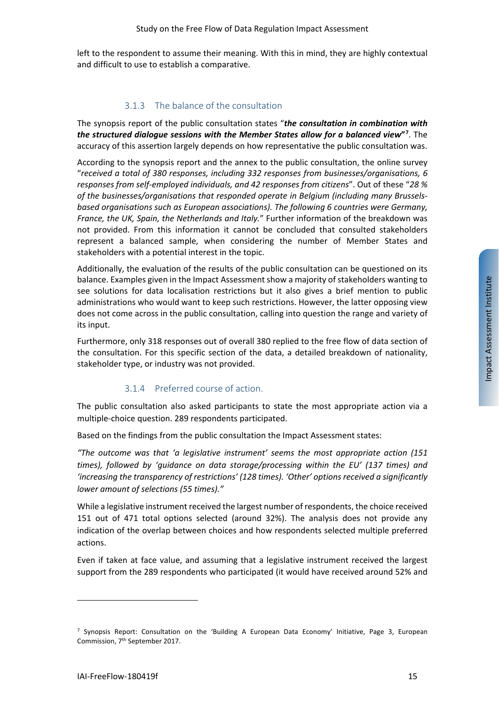left to the respondent to assume their meaning. With this in mind, they are highly contextual and difficult to use to establish a comparative.

#### 3.1.3 The balance of the consultation

<span id="page-14-0"></span>The synopsis report of the public consultation states "*the consultation in combination with the structured dialogue sessions with the Member States allow for a balanced view***"[7](#page-14-2)** . The accuracy of this assertion largely depends on how representative the public consultation was.

According to the synopsis report and the annex to the public consultation, the online survey "*received a total of 380 responses, including 332 responses from businesses/organisations, 6 responses from self-employed individuals, and 42 responses from citizens*". Out of these "*28 % of the businesses/organisations that responded operate in Belgium (including many Brusselsbased organisations such as European associations). The following 6 countries were Germany, France, the UK, Spain, the Netherlands and Italy.*" Further information of the breakdown was not provided. From this information it cannot be concluded that consulted stakeholders represent a balanced sample, when considering the number of Member States and stakeholders with a potential interest in the topic.

Additionally, the evaluation of the results of the public consultation can be questioned on its balance. Examples given in the Impact Assessment show a majority of stakeholders wanting to see solutions for data localisation restrictions but it also gives a brief mention to public administrations who would want to keep such restrictions. However, the latter opposing view does not come across in the public consultation, calling into question the range and variety of its input.

Furthermore, only 318 responses out of overall 380 replied to the free flow of data section of the consultation. For this specific section of the data, a detailed breakdown of nationality, stakeholder type, or industry was not provided.

#### 3.1.4 Preferred course of action.

<span id="page-14-1"></span>The public consultation also asked participants to state the most appropriate action via a multiple-choice question. 289 respondents participated.

Based on the findings from the public consultation the Impact Assessment states:

*"The outcome was that 'a legislative instrument' seems the most appropriate action (151 times), followed by 'guidance on data storage/processing within the EU' (137 times) and 'increasing the transparency of restrictions' (128 times). 'Other' options received a significantly lower amount of selections (55 times)."*

While a legislative instrument received the largest number of respondents, the choice received 151 out of 471 total options selected (around 32%). The analysis does not provide any indication of the overlap between choices and how respondents selected multiple preferred actions.

Even if taken at face value, and assuming that a legislative instrument received the largest support from the 289 respondents who participated (it would have received around 52% and

<span id="page-14-2"></span> $<sup>7</sup>$  Synopsis Report: Consultation on the 'Building A European Data Economy' Initiative, Page 3, European</sup> Commission, 7th September 2017.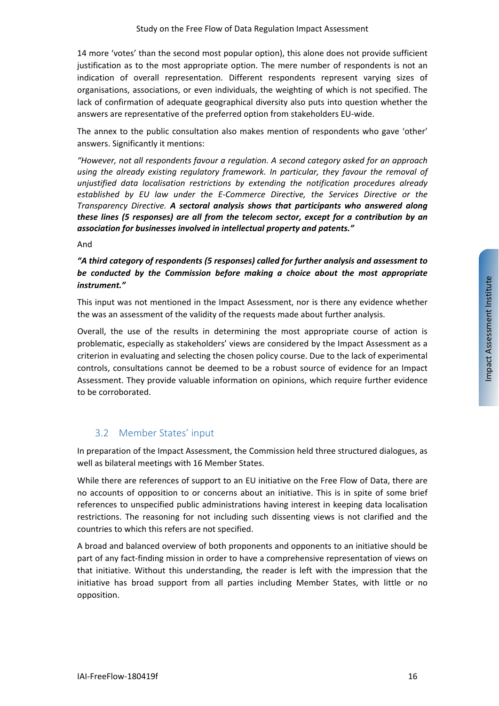14 more 'votes' than the second most popular option), this alone does not provide sufficient justification as to the most appropriate option. The mere number of respondents is not an indication of overall representation. Different respondents represent varying sizes of organisations, associations, or even individuals, the weighting of which is not specified. The lack of confirmation of adequate geographical diversity also puts into question whether the answers are representative of the preferred option from stakeholders EU-wide.

The annex to the public consultation also makes mention of respondents who gave 'other' answers. Significantly it mentions:

*"However, not all respondents favour a regulation. A second category asked for an approach using the already existing regulatory framework. In particular, they favour the removal of unjustified data localisation restrictions by extending the notification procedures already established by EU law under the E-Commerce Directive, the Services Directive or the Transparency Directive. A sectoral analysis shows that participants who answered along these lines (5 responses) are all from the telecom sector, except for a contribution by an association for businesses involved in intellectual property and patents."*

#### And

### *"A third category of respondents (5 responses) called for further analysis and assessment to be conducted by the Commission before making a choice about the most appropriate instrument."*

This input was not mentioned in the Impact Assessment, nor is there any evidence whether the was an assessment of the validity of the requests made about further analysis.

Overall, the use of the results in determining the most appropriate course of action is problematic, especially as stakeholders' views are considered by the Impact Assessment as a criterion in evaluating and selecting the chosen policy course. Due to the lack of experimental controls, consultations cannot be deemed to be a robust source of evidence for an Impact Assessment. They provide valuable information on opinions, which require further evidence to be corroborated.

## <span id="page-15-0"></span>3.2 Member States' input

In preparation of the Impact Assessment, the Commission held three structured dialogues, as well as bilateral meetings with 16 Member States.

While there are references of support to an EU initiative on the Free Flow of Data, there are no accounts of opposition to or concerns about an initiative. This is in spite of some brief references to unspecified public administrations having interest in keeping data localisation restrictions. The reasoning for not including such dissenting views is not clarified and the countries to which this refers are not specified.

A broad and balanced overview of both proponents and opponents to an initiative should be part of any fact-finding mission in order to have a comprehensive representation of views on that initiative. Without this understanding, the reader is left with the impression that the initiative has broad support from all parties including Member States, with little or no opposition.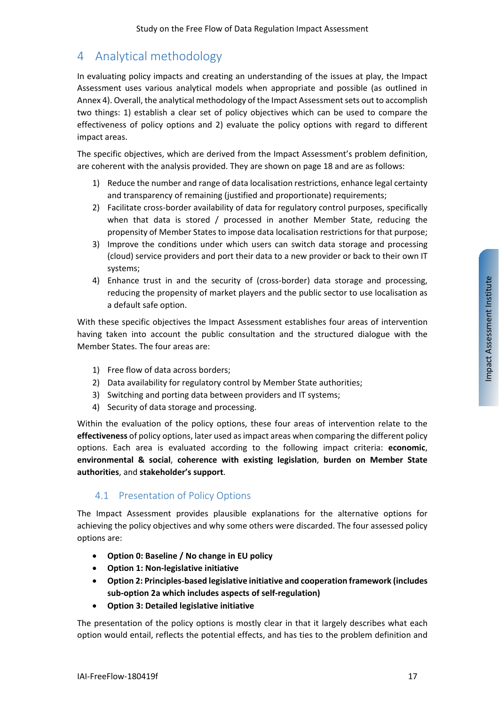# <span id="page-16-0"></span>4 Analytical methodology

In evaluating policy impacts and creating an understanding of the issues at play, the Impact Assessment uses various analytical models when appropriate and possible (as outlined in Annex 4). Overall, the analytical methodology of the Impact Assessment sets out to accomplish two things: 1) establish a clear set of policy objectives which can be used to compare the effectiveness of policy options and 2) evaluate the policy options with regard to different impact areas.

The specific objectives, which are derived from the Impact Assessment's problem definition, are coherent with the analysis provided. They are shown on page 18 and are as follows:

- 1) Reduce the number and range of data localisation restrictions, enhance legal certainty and transparency of remaining (justified and proportionate) requirements;
- 2) Facilitate cross-border availability of data for regulatory control purposes, specifically when that data is stored / processed in another Member State, reducing the propensity of Member States to impose data localisation restrictions for that purpose;
- 3) Improve the conditions under which users can switch data storage and processing (cloud) service providers and port their data to a new provider or back to their own IT systems;
- 4) Enhance trust in and the security of (cross-border) data storage and processing, reducing the propensity of market players and the public sector to use localisation as a default safe option.

With these specific objectives the Impact Assessment establishes four areas of intervention having taken into account the public consultation and the structured dialogue with the Member States. The four areas are:

- 1) Free flow of data across borders;
- 2) Data availability for regulatory control by Member State authorities;
- 3) Switching and porting data between providers and IT systems;
- 4) Security of data storage and processing.

Within the evaluation of the policy options, these four areas of intervention relate to the **effectiveness** of policy options, later used as impact areas when comparing the different policy options. Each area is evaluated according to the following impact criteria: **economic**, **environmental & social**, **coherence with existing legislation**, **burden on Member State authorities**, and **stakeholder's support**.

## <span id="page-16-1"></span>4.1 Presentation of Policy Options

The Impact Assessment provides plausible explanations for the alternative options for achieving the policy objectives and why some others were discarded. The four assessed policy options are:

- **Option 0: Baseline / No change in EU policy**
- **Option 1: Non-legislative initiative**
- **Option 2: Principles-based legislative initiative and cooperation framework (includes sub-option 2a which includes aspects of self-regulation)**
- **Option 3: Detailed legislative initiative**

The presentation of the policy options is mostly clear in that it largely describes what each option would entail, reflects the potential effects, and has ties to the problem definition and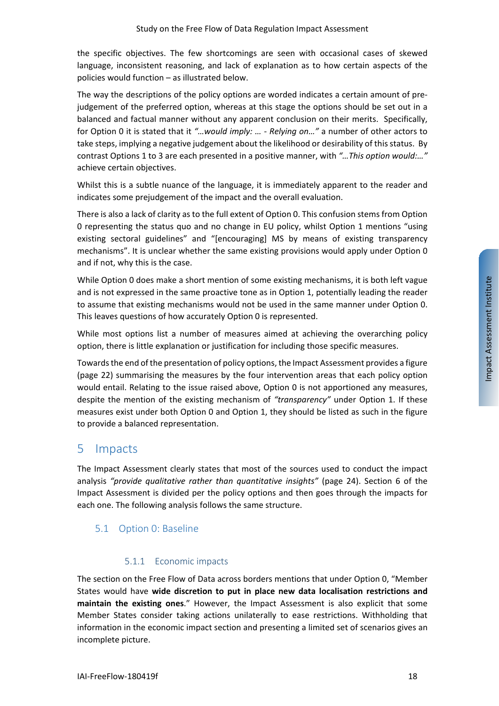the specific objectives. The few shortcomings are seen with occasional cases of skewed language, inconsistent reasoning, and lack of explanation as to how certain aspects of the policies would function – as illustrated below.

The way the descriptions of the policy options are worded indicates a certain amount of prejudgement of the preferred option, whereas at this stage the options should be set out in a balanced and factual manner without any apparent conclusion on their merits. Specifically, for Option 0 it is stated that it *"…would imply: … - Relying on…"* a number of other actors to take steps, implying a negative judgement about the likelihood or desirability of this status. By contrast Options 1 to 3 are each presented in a positive manner, with *"…This option would:…"* achieve certain objectives.

Whilst this is a subtle nuance of the language, it is immediately apparent to the reader and indicates some prejudgement of the impact and the overall evaluation.

There is also a lack of clarity as to the full extent of Option 0. This confusion stems from Option 0 representing the status quo and no change in EU policy, whilst Option 1 mentions "using existing sectoral guidelines" and "[encouraging] MS by means of existing transparency mechanisms". It is unclear whether the same existing provisions would apply under Option 0 and if not, why this is the case.

While Option 0 does make a short mention of some existing mechanisms, it is both left vague and is not expressed in the same proactive tone as in Option 1, potentially leading the reader to assume that existing mechanisms would not be used in the same manner under Option 0. This leaves questions of how accurately Option 0 is represented.

While most options list a number of measures aimed at achieving the overarching policy option, there is little explanation or justification for including those specific measures.

Towards the end of the presentation of policy options, the Impact Assessment provides a figure (page 22) summarising the measures by the four intervention areas that each policy option would entail. Relating to the issue raised above, Option 0 is not apportioned any measures, despite the mention of the existing mechanism of *"transparency"* under Option 1. If these measures exist under both Option 0 and Option 1, they should be listed as such in the figure to provide a balanced representation.

## <span id="page-17-0"></span>5 Impacts

The Impact Assessment clearly states that most of the sources used to conduct the impact analysis *"provide qualitative rather than quantitative insights"* (page 24). Section 6 of the Impact Assessment is divided per the policy options and then goes through the impacts for each one. The following analysis follows the same structure.

## <span id="page-17-1"></span>5.1 Option 0: Baseline

#### 5.1.1 Economic impacts

<span id="page-17-2"></span>The section on the Free Flow of Data across borders mentions that under Option 0, "Member States would have **wide discretion to put in place new data localisation restrictions and maintain the existing ones**." However, the Impact Assessment is also explicit that some Member States consider taking actions unilaterally to ease restrictions. Withholding that information in the economic impact section and presenting a limited set of scenarios gives an incomplete picture.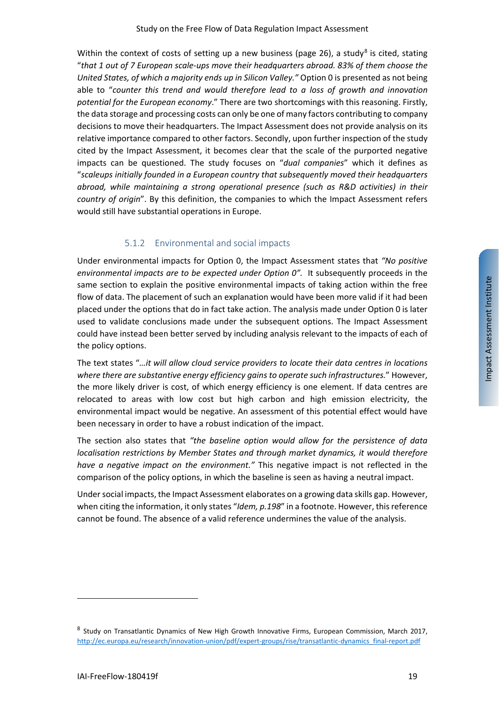Within the context of costs of setting up a new business (page 26), a study<sup>[8](#page-18-1)</sup> is cited, stating "*that 1 out of 7 European scale-ups move their headquarters abroad. 83% of them choose the United States, of which a majority ends up in Silicon Valley."* Option 0 is presented as not being able to "*counter this trend and would therefore lead to a loss of growth and innovation potential for the European economy*." There are two shortcomings with this reasoning. Firstly, the data storage and processing costs can only be one of many factors contributing to company decisions to move their headquarters. The Impact Assessment does not provide analysis on its relative importance compared to other factors. Secondly, upon further inspection of the study cited by the Impact Assessment, it becomes clear that the scale of the purported negative impacts can be questioned. The study focuses on "*dual companies*" which it defines as "*scaleups initially founded in a European country that subsequently moved their headquarters abroad, while maintaining a strong operational presence (such as R&D activities) in their country of origin*". By this definition, the companies to which the Impact Assessment refers would still have substantial operations in Europe.

### 5.1.2 Environmental and social impacts

<span id="page-18-0"></span>Under environmental impacts for Option 0, the Impact Assessment states that *"No positive environmental impacts are to be expected under Option 0".* It subsequently proceeds in the same section to explain the positive environmental impacts of taking action within the free flow of data. The placement of such an explanation would have been more valid if it had been placed under the options that do in fact take action. The analysis made under Option 0 is later used to validate conclusions made under the subsequent options. The Impact Assessment could have instead been better served by including analysis relevant to the impacts of each of the policy options.

The text states "*…it will allow cloud service providers to locate their data centres in locations where there are substantive energy efficiency gains to operate such infrastructures.*" However, the more likely driver is cost, of which energy efficiency is one element. If data centres are relocated to areas with low cost but high carbon and high emission electricity, the environmental impact would be negative. An assessment of this potential effect would have been necessary in order to have a robust indication of the impact.

The section also states that *"the baseline option would allow for the persistence of data localisation restrictions by Member States and through market dynamics, it would therefore have a negative impact on the environment."* This negative impact is not reflected in the comparison of the policy options, in which the baseline is seen as having a neutral impact.

Under social impacts, the Impact Assessment elaborates on a growing data skills gap. However, when citing the information, it only states "*Idem, p.198*" in a footnote. However, this reference cannot be found. The absence of a valid reference undermines the value of the analysis.

<span id="page-18-1"></span><sup>8</sup> Study on Transatlantic Dynamics of New High Growth Innovative Firms, European Commission, March 2017, [http://ec.europa.eu/research/innovation-union/pdf/expert-groups/rise/transatlantic-dynamics\\_final-report.pdf](http://ec.europa.eu/research/innovation-union/pdf/expert-groups/rise/transatlantic-dynamics_final-report.pdf)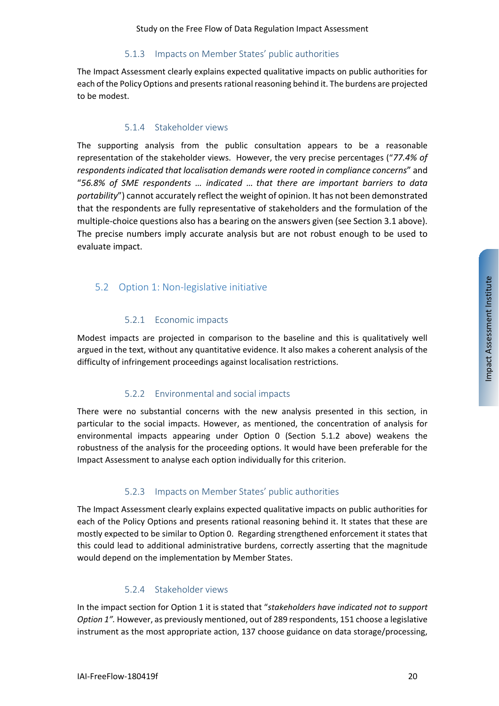#### 5.1.3 Impacts on Member States' public authorities

<span id="page-19-0"></span>The Impact Assessment clearly explains expected qualitative impacts on public authorities for each of the Policy Options and presents rational reasoning behind it. The burdens are projected to be modest.

#### 5.1.4 Stakeholder views

<span id="page-19-1"></span>The supporting analysis from the public consultation appears to be a reasonable representation of the stakeholder views. However, the very precise percentages ("*77.4% of respondents indicated that localisation demands were rooted in compliance concerns*" and "*56.8% of SME respondents … indicated … that there are important barriers to data portability*") cannot accurately reflect the weight of opinion. It has not been demonstrated that the respondents are fully representative of stakeholders and the formulation of the multiple-choice questions also has a bearing on the answers given (see Sectio[n 3.1](#page-12-0) above). The precise numbers imply accurate analysis but are not robust enough to be used to evaluate impact.

## <span id="page-19-2"></span>5.2 Option 1: Non-legislative initiative

#### 5.2.1 Economic impacts

<span id="page-19-3"></span>Modest impacts are projected in comparison to the baseline and this is qualitatively well argued in the text, without any quantitative evidence. It also makes a coherent analysis of the difficulty of infringement proceedings against localisation restrictions.

## 5.2.2 Environmental and social impacts

<span id="page-19-4"></span>There were no substantial concerns with the new analysis presented in this section, in particular to the social impacts. However, as mentioned, the concentration of analysis for environmental impacts appearing under Option 0 (Section [5.1.2](#page-18-0) above) weakens the robustness of the analysis for the proceeding options. It would have been preferable for the Impact Assessment to analyse each option individually for this criterion.

## 5.2.3 Impacts on Member States' public authorities

<span id="page-19-5"></span>The Impact Assessment clearly explains expected qualitative impacts on public authorities for each of the Policy Options and presents rational reasoning behind it. It states that these are mostly expected to be similar to Option 0. Regarding strengthened enforcement it states that this could lead to additional administrative burdens, correctly asserting that the magnitude would depend on the implementation by Member States.

## 5.2.4 Stakeholder views

<span id="page-19-6"></span>In the impact section for Option 1 it is stated that "*stakeholders have indicated not to support Option 1".* However, as previously mentioned, out of 289 respondents, 151 choose a legislative instrument as the most appropriate action, 137 choose guidance on data storage/processing,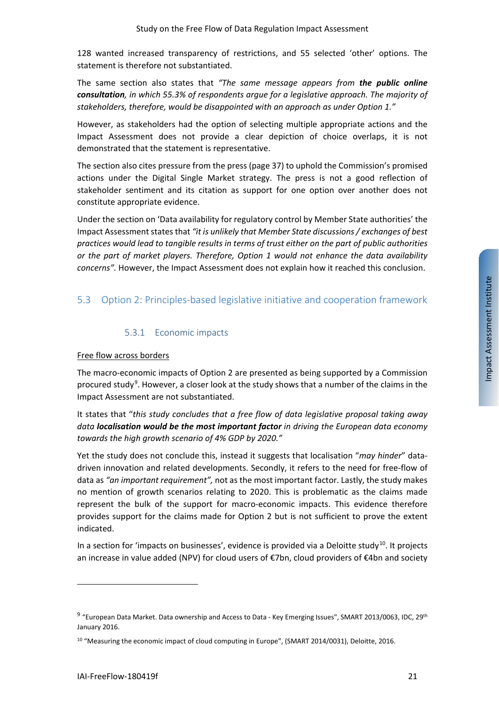128 wanted increased transparency of restrictions, and 55 selected 'other' options. The statement is therefore not substantiated.

The same section also states that *"The same message appears from the public online consultation, in which 55.3% of respondents argue for a legislative approach. The majority of stakeholders, therefore, would be disappointed with an approach as under Option 1."*

However, as stakeholders had the option of selecting multiple appropriate actions and the Impact Assessment does not provide a clear depiction of choice overlaps, it is not demonstrated that the statement is representative.

The section also cites pressure from the press (page 37) to uphold the Commission's promised actions under the Digital Single Market strategy. The press is not a good reflection of stakeholder sentiment and its citation as support for one option over another does not constitute appropriate evidence.

Under the section on 'Data availability for regulatory control by Member State authorities' the Impact Assessment states that *"it is unlikely that Member State discussions / exchanges of best practices would lead to tangible results in terms of trust either on the part of public authorities or the part of market players. Therefore, Option 1 would not enhance the data availability concerns".* However, the Impact Assessment does not explain how it reached this conclusion.

## <span id="page-20-0"></span>5.3 Option 2: Principles-based legislative initiative and cooperation framework

### 5.3.1 Economic impacts

#### <span id="page-20-1"></span>Free flow across borders

The macro-economic impacts of Option 2 are presented as being supported by a Commission procured study<sup>[9](#page-20-2)</sup>. However, a closer look at the study shows that a number of the claims in the Impact Assessment are not substantiated.

It states that "*this study concludes that a free flow of data legislative proposal taking away data localisation would be the most important factor in driving the European data economy towards the high growth scenario of 4% GDP by 2020."*

Yet the study does not conclude this, instead it suggests that localisation "*may hinder*" datadriven innovation and related developments. Secondly, it refers to the need for free-flow of data as *"an important requirement",* not as the most important factor. Lastly, the study makes no mention of growth scenarios relating to 2020. This is problematic as the claims made represent the bulk of the support for macro-economic impacts. This evidence therefore provides support for the claims made for Option 2 but is not sufficient to prove the extent indicated.

In a section for 'impacts on businesses', evidence is provided via a Deloitte study<sup>10</sup>. It projects an increase in value added (NPV) for cloud users of €7bn, cloud providers of €4bn and society

<span id="page-20-2"></span><sup>9</sup> "European Data Market. Data ownership and Access to Data - Key Emerging Issues", SMART 2013/0063, IDC, 29th January 2016.

<span id="page-20-3"></span><sup>&</sup>lt;sup>10</sup> "Measuring the economic impact of cloud computing in Europe", (SMART 2014/0031), Deloitte, 2016.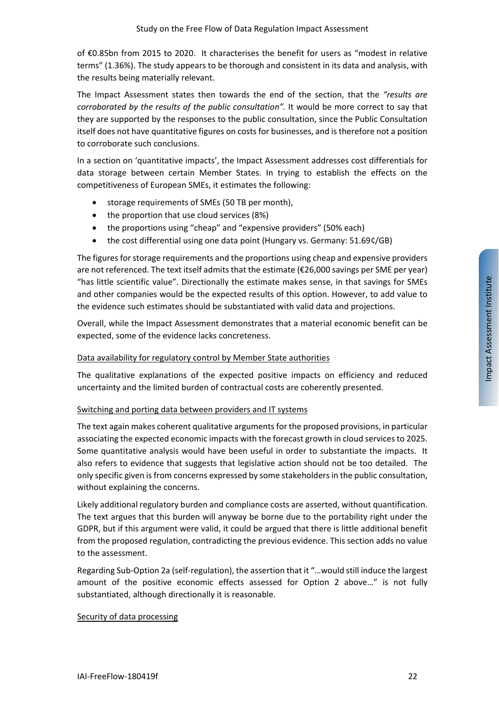of €0.85bn from 2015 to 2020. It characterises the benefit for users as "modest in relative terms" (1.36%). The study appears to be thorough and consistent in its data and analysis, with the results being materially relevant.

The Impact Assessment states then towards the end of the section, that the *"results are corroborated by the results of the public consultation".* It would be more correct to say that they are supported by the responses to the public consultation, since the Public Consultation itself does not have quantitative figures on costs for businesses, and is therefore not a position to corroborate such conclusions.

In a section on 'quantitative impacts', the Impact Assessment addresses cost differentials for data storage between certain Member States. In trying to establish the effects on the competitiveness of European SMEs, it estimates the following:

- storage requirements of SMEs (50 TB per month),
- the proportion that use cloud services (8%)
- the proportions using "cheap" and "expensive providers" (50% each)
- the cost differential using one data point (Hungary vs. Germany: 51.69¢/GB)

The figures for storage requirements and the proportions using cheap and expensive providers are not referenced. The text itself admits that the estimate (€26,000 savings per SME per year) "has little scientific value". Directionally the estimate makes sense, in that savings for SMEs and other companies would be the expected results of this option. However, to add value to the evidence such estimates should be substantiated with valid data and projections.

Overall, while the Impact Assessment demonstrates that a material economic benefit can be expected, some of the evidence lacks concreteness.

#### Data availability for regulatory control by Member State authorities

The qualitative explanations of the expected positive impacts on efficiency and reduced uncertainty and the limited burden of contractual costs are coherently presented.

#### Switching and porting data between providers and IT systems

The text again makes coherent qualitative arguments for the proposed provisions, in particular associating the expected economic impacts with the forecast growth in cloud services to 2025. Some quantitative analysis would have been useful in order to substantiate the impacts. It also refers to evidence that suggests that legislative action should not be too detailed. The only specific given is from concerns expressed by some stakeholders in the public consultation, without explaining the concerns.

Likely additional regulatory burden and compliance costs are asserted, without quantification. The text argues that this burden will anyway be borne due to the portability right under the GDPR, but if this argument were valid, it could be argued that there is little additional benefit from the proposed regulation, contradicting the previous evidence. This section adds no value to the assessment.

Regarding Sub-Option 2a (self-regulation), the assertion that it "…would still induce the largest amount of the positive economic effects assessed for Option 2 above…" is not fully substantiated, although directionally it is reasonable.

#### Security of data processing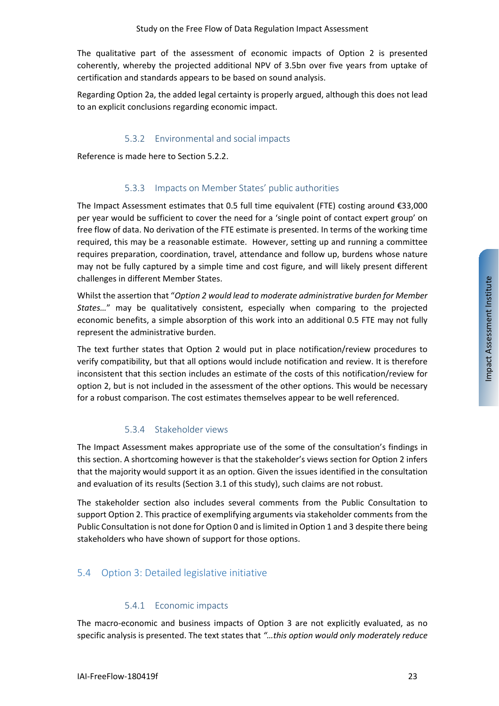The qualitative part of the assessment of economic impacts of Option 2 is presented coherently, whereby the projected additional NPV of 3.5bn over five years from uptake of certification and standards appears to be based on sound analysis.

Regarding Option 2a, the added legal certainty is properly argued, although this does not lead to an explicit conclusions regarding economic impact.

#### 5.3.2 Environmental and social impacts

<span id="page-22-0"></span>Reference is made here to Sectio[n 5.2.2.](#page-19-4)

#### 5.3.3 Impacts on Member States' public authorities

<span id="page-22-1"></span>The Impact Assessment estimates that 0.5 full time equivalent (FTE) costing around €33,000 per year would be sufficient to cover the need for a 'single point of contact expert group' on free flow of data. No derivation of the FTE estimate is presented. In terms of the working time required, this may be a reasonable estimate. However, setting up and running a committee requires preparation, coordination, travel, attendance and follow up, burdens whose nature may not be fully captured by a simple time and cost figure, and will likely present different challenges in different Member States.

Whilst the assertion that "*Option 2 would lead to moderate administrative burden for Member States…*" may be qualitatively consistent, especially when comparing to the projected economic benefits, a simple absorption of this work into an additional 0.5 FTE may not fully represent the administrative burden.

The text further states that Option 2 would put in place notification/review procedures to verify compatibility, but that all options would include notification and review. It is therefore inconsistent that this section includes an estimate of the costs of this notification/review for option 2, but is not included in the assessment of the other options. This would be necessary for a robust comparison. The cost estimates themselves appear to be well referenced.

#### 5.3.4 Stakeholder views

<span id="page-22-2"></span>The Impact Assessment makes appropriate use of the some of the consultation's findings in this section. A shortcoming however is that the stakeholder's views section for Option 2 infers that the majority would support it as an option. Given the issues identified in the consultation and evaluation of its results (Section [3.1](#page-12-0) of this study), such claims are not robust.

The stakeholder section also includes several comments from the Public Consultation to support Option 2. This practice of exemplifying arguments via stakeholder comments from the Public Consultation is not done for Option 0 and is limited in Option 1 and 3 despite there being stakeholders who have shown of support for those options.

#### <span id="page-22-3"></span>5.4 Option 3: Detailed legislative initiative

#### 5.4.1 Economic impacts

<span id="page-22-4"></span>The macro-economic and business impacts of Option 3 are not explicitly evaluated, as no specific analysis is presented. The text states that *"…this option would only moderately reduce*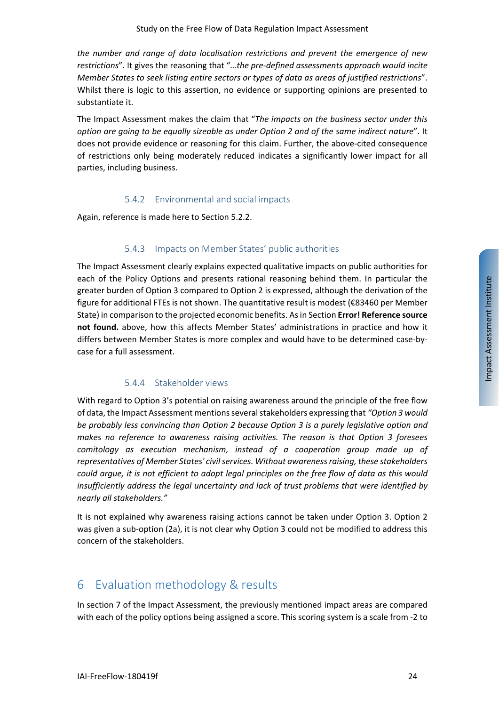*the number and range of data localisation restrictions and prevent the emergence of new restrictions*". It gives the reasoning that "*…the pre-defined assessments approach would incite Member States to seek listing entire sectors or types of data as areas of justified restrictions*". Whilst there is logic to this assertion, no evidence or supporting opinions are presented to substantiate it.

The Impact Assessment makes the claim that "*The impacts on the business sector under this option are going to be equally sizeable as under Option 2 and of the same indirect nature*". It does not provide evidence or reasoning for this claim. Further, the above-cited consequence of restrictions only being moderately reduced indicates a significantly lower impact for all parties, including business.

#### 5.4.2 Environmental and social impacts

<span id="page-23-0"></span>Again, reference is made here to Section [5.2.2.](#page-19-4)

#### 5.4.3 Impacts on Member States' public authorities

<span id="page-23-1"></span>The Impact Assessment clearly explains expected qualitative impacts on public authorities for each of the Policy Options and presents rational reasoning behind them. In particular the greater burden of Option 3 compared to Option 2 is expressed, although the derivation of the figure for additional FTEs is not shown. The quantitative result is modest (€83460 per Member State) in comparison to the projected economic benefits. As in Section **Error! Reference source not found.** above, how this affects Member States' administrations in practice and how it differs between Member States is more complex and would have to be determined case-bycase for a full assessment.

#### 5.4.4 Stakeholder views

<span id="page-23-2"></span>With regard to Option 3's potential on raising awareness around the principle of the free flow of data, the Impact Assessment mentions several stakeholders expressing that *"Option 3 would be probably less convincing than Option 2 because Option 3 is a purely legislative option and makes no reference to awareness raising activities. The reason is that Option 3 foresees comitology as execution mechanism, instead of a cooperation group made up of representatives of Member States' civil services. Without awareness raising, these stakeholders could argue, it is not efficient to adopt legal principles on the free flow of data as this would insufficiently address the legal uncertainty and lack of trust problems that were identified by nearly all stakeholders."*

It is not explained why awareness raising actions cannot be taken under Option 3. Option 2 was given a sub-option (2a), it is not clear why Option 3 could not be modified to address this concern of the stakeholders.

# <span id="page-23-3"></span>6 Evaluation methodology & results

In section 7 of the Impact Assessment, the previously mentioned impact areas are compared with each of the policy options being assigned a score. This scoring system is a scale from -2 to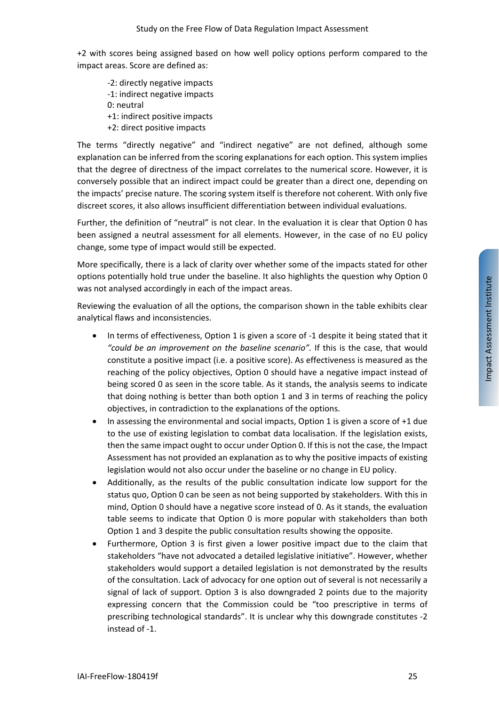+2 with scores being assigned based on how well policy options perform compared to the impact areas. Score are defined as:

-2: directly negative impacts -1: indirect negative impacts 0: neutral +1: indirect positive impacts +2: direct positive impacts

The terms "directly negative" and "indirect negative" are not defined, although some explanation can be inferred from the scoring explanations for each option. This system implies that the degree of directness of the impact correlates to the numerical score. However, it is conversely possible that an indirect impact could be greater than a direct one, depending on the impacts' precise nature. The scoring system itself is therefore not coherent. With only five discreet scores, it also allows insufficient differentiation between individual evaluations.

Further, the definition of "neutral" is not clear. In the evaluation it is clear that Option 0 has been assigned a neutral assessment for all elements. However, in the case of no EU policy change, some type of impact would still be expected.

More specifically, there is a lack of clarity over whether some of the impacts stated for other options potentially hold true under the baseline. It also highlights the question why Option 0 was not analysed accordingly in each of the impact areas.

Reviewing the evaluation of all the options, the comparison shown in the table exhibits clear analytical flaws and inconsistencies.

- In terms of effectiveness, Option 1 is given a score of -1 despite it being stated that it *"could be an improvement on the baseline scenario".* If this is the case, that would constitute a positive impact (i.e. a positive score). As effectiveness is measured as the reaching of the policy objectives, Option 0 should have a negative impact instead of being scored 0 as seen in the score table. As it stands, the analysis seems to indicate that doing nothing is better than both option 1 and 3 in terms of reaching the policy objectives, in contradiction to the explanations of the options.
- In assessing the environmental and social impacts, Option 1 is given a score of  $+1$  due to the use of existing legislation to combat data localisation. If the legislation exists, then the same impact ought to occur under Option 0. If this is not the case, the Impact Assessment has not provided an explanation as to why the positive impacts of existing legislation would not also occur under the baseline or no change in EU policy.
- Additionally, as the results of the public consultation indicate low support for the status quo, Option 0 can be seen as not being supported by stakeholders. With this in mind, Option 0 should have a negative score instead of 0. As it stands, the evaluation table seems to indicate that Option 0 is more popular with stakeholders than both Option 1 and 3 despite the public consultation results showing the opposite.
- Furthermore, Option 3 is first given a lower positive impact due to the claim that stakeholders "have not advocated a detailed legislative initiative". However, whether stakeholders would support a detailed legislation is not demonstrated by the results of the consultation. Lack of advocacy for one option out of several is not necessarily a signal of lack of support. Option 3 is also downgraded 2 points due to the majority expressing concern that the Commission could be "too prescriptive in terms of prescribing technological standards". It is unclear why this downgrade constitutes -2 instead of -1.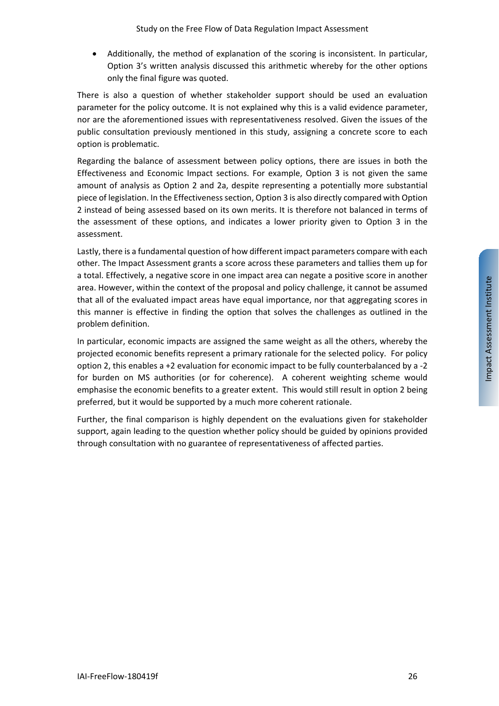• Additionally, the method of explanation of the scoring is inconsistent. In particular, Option 3's written analysis discussed this arithmetic whereby for the other options only the final figure was quoted.

There is also a question of whether stakeholder support should be used an evaluation parameter for the policy outcome. It is not explained why this is a valid evidence parameter, nor are the aforementioned issues with representativeness resolved. Given the issues of the public consultation previously mentioned in this study, assigning a concrete score to each option is problematic.

Regarding the balance of assessment between policy options, there are issues in both the Effectiveness and Economic Impact sections. For example, Option 3 is not given the same amount of analysis as Option 2 and 2a, despite representing a potentially more substantial piece of legislation. In the Effectiveness section, Option 3 is also directly compared with Option 2 instead of being assessed based on its own merits. It is therefore not balanced in terms of the assessment of these options, and indicates a lower priority given to Option 3 in the assessment.

Lastly, there is a fundamental question of how different impact parameters compare with each other. The Impact Assessment grants a score across these parameters and tallies them up for a total. Effectively, a negative score in one impact area can negate a positive score in another area. However, within the context of the proposal and policy challenge, it cannot be assumed that all of the evaluated impact areas have equal importance, nor that aggregating scores in this manner is effective in finding the option that solves the challenges as outlined in the problem definition.

In particular, economic impacts are assigned the same weight as all the others, whereby the projected economic benefits represent a primary rationale for the selected policy. For policy option 2, this enables a +2 evaluation for economic impact to be fully counterbalanced by a -2 for burden on MS authorities (or for coherence). A coherent weighting scheme would emphasise the economic benefits to a greater extent. This would still result in option 2 being preferred, but it would be supported by a much more coherent rationale.

Further, the final comparison is highly dependent on the evaluations given for stakeholder support, again leading to the question whether policy should be guided by opinions provided through consultation with no guarantee of representativeness of affected parties.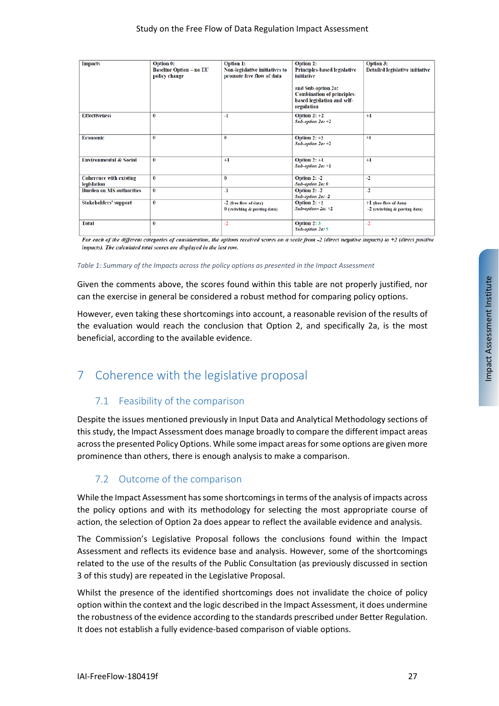| <b>Impacts</b>                    | <b>Option 0:</b>                                | <b>Option 1:</b>                                                   | <b>Option 2:</b>                                  | <b>Option 3:</b>                |
|-----------------------------------|-------------------------------------------------|--------------------------------------------------------------------|---------------------------------------------------|---------------------------------|
|                                   | <b>Baseline Option - no EU</b><br>policy change | <b>Non-legislative initiatives to</b><br>promote free flow of data | <b>Principles-based legislative</b><br>initiative | Detailed legislative initiative |
|                                   |                                                 |                                                                    |                                                   |                                 |
|                                   |                                                 |                                                                    | and Sub-option 2a:                                |                                 |
|                                   |                                                 |                                                                    | <b>Combination of principles-</b>                 |                                 |
|                                   |                                                 |                                                                    | based legislation and self-                       |                                 |
|                                   |                                                 |                                                                    | regulation                                        |                                 |
| <b>Effectiveness</b>              | $\bf{0}$                                        | $-1$                                                               | Option $2: +2$                                    | $+1$                            |
|                                   |                                                 |                                                                    | Sub-option $2a: +2$                               |                                 |
|                                   |                                                 |                                                                    |                                                   |                                 |
| <b>Economic</b>                   | 0                                               | 0                                                                  | Option $2:+2$                                     | $+1$                            |
|                                   |                                                 |                                                                    | $Sub-option 2a: +2$                               |                                 |
|                                   |                                                 |                                                                    |                                                   |                                 |
| <b>Environmental &amp; Social</b> | $\bf{0}$                                        | $+1$                                                               | Option $2: +1$                                    | $+1$                            |
|                                   |                                                 |                                                                    | Sub-option 2a: +1                                 |                                 |
| <b>Coherence with existing</b>    | $\bf{0}$                                        | 0                                                                  | Option $2: -2$                                    | $-2$                            |
| legislation                       |                                                 |                                                                    | Sub-option 2a: 0                                  |                                 |
| <b>Burden on MS authorities</b>   | $\bf{0}$                                        | $-1$                                                               | Option $2: -2$                                    | $-2$                            |
|                                   |                                                 |                                                                    | Sub-option 2a: -2                                 |                                 |
| <b>Stakeholders' support</b>      | $\bf{0}$                                        | -2 (free flow of data)                                             | <b>Option 2: <math>+2</math></b>                  | $+1$ (free flow of data)        |
|                                   |                                                 | $0$ (switching $\&$ porting data)                                  | $Sub-option-2a: +2$                               | $-2$ (switching & porting data) |
|                                   |                                                 |                                                                    |                                                   |                                 |
| <b>Total</b>                      | $\bf{0}$                                        | -2                                                                 | Option 2:3                                        | $-2$                            |
|                                   |                                                 |                                                                    | Sub-option 2a: 5                                  |                                 |

For each of the different categories of consideration, the options received scores on a scale from -2 (direct negative impacts) to +2 (direct positive impacts). The calculated total scores are displayed in the last row.

#### *Table 1: Summary of the Impacts across the policy options as presented in the Impact Assessment*

Given the comments above, the scores found within this table are not properly justified, nor can the exercise in general be considered a robust method for comparing policy options.

However, even taking these shortcomings into account, a reasonable revision of the results of the evaluation would reach the conclusion that Option 2, and specifically 2a, is the most beneficial, according to the available evidence.

# <span id="page-26-1"></span><span id="page-26-0"></span>7 Coherence with the legislative proposal

## 7.1 Feasibility of the comparison

Despite the issues mentioned previously in Input Data and Analytical Methodology sections of this study, the Impact Assessment does manage broadly to compare the different impact areas across the presented Policy Options. While some impact areas for some options are given more prominence than others, there is enough analysis to make a comparison.

## <span id="page-26-2"></span>7.2 Outcome of the comparison

While the Impact Assessment has some shortcomings in terms of the analysis of impacts across the policy options and with its methodology for selecting the most appropriate course of action, the selection of Option 2a does appear to reflect the available evidence and analysis.

The Commission's Legislative Proposal follows the conclusions found within the Impact Assessment and reflects its evidence base and analysis. However, some of the shortcomings related to the use of the results of the Public Consultation (as previously discussed in section 3 of this study) are repeated in the Legislative Proposal.

Whilst the presence of the identified shortcomings does not invalidate the choice of policy option within the context and the logic described in the Impact Assessment, it does undermine the robustness of the evidence according to the standards prescribed under Better Regulation. It does not establish a fully evidence-based comparison of viable options.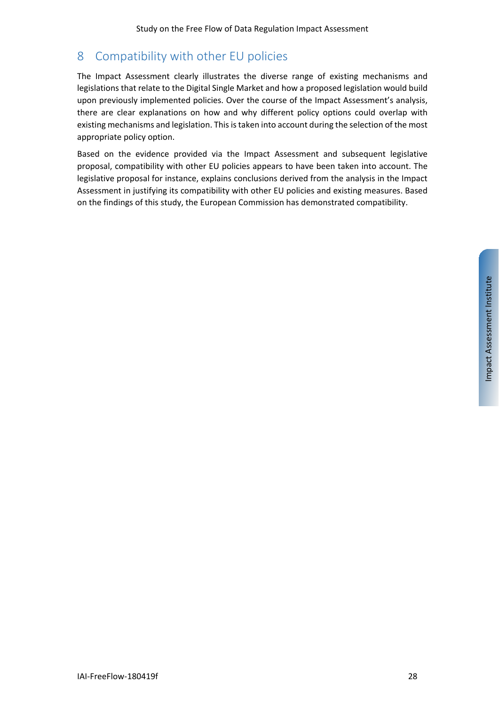# <span id="page-27-0"></span>8 Compatibility with other EU policies

The Impact Assessment clearly illustrates the diverse range of existing mechanisms and legislations that relate to the Digital Single Market and how a proposed legislation would build upon previously implemented policies. Over the course of the Impact Assessment's analysis, there are clear explanations on how and why different policy options could overlap with existing mechanisms and legislation. This is taken into account during the selection of the most appropriate policy option.

Based on the evidence provided via the Impact Assessment and subsequent legislative proposal, compatibility with other EU policies appears to have been taken into account. The legislative proposal for instance, explains conclusions derived from the analysis in the Impact Assessment in justifying its compatibility with other EU policies and existing measures. Based on the findings of this study, the European Commission has demonstrated compatibility.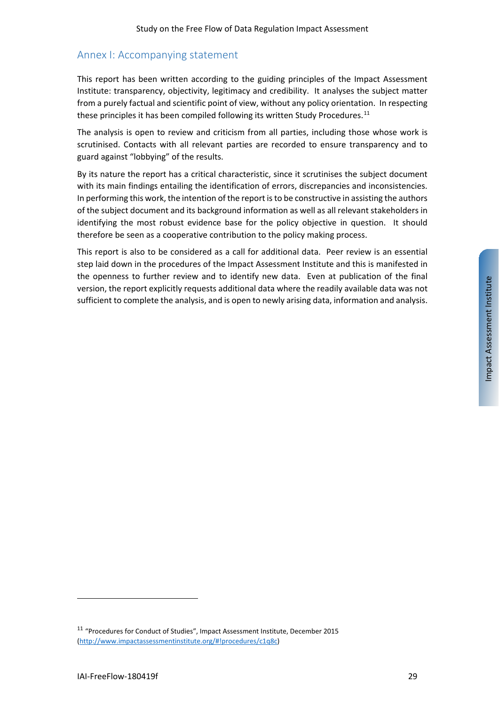## <span id="page-28-0"></span>Annex I: Accompanying statement

This report has been written according to the guiding principles of the Impact Assessment Institute: transparency, objectivity, legitimacy and credibility. It analyses the subject matter from a purely factual and scientific point of view, without any policy orientation. In respecting these principles it has been compiled following its written Study Procedures.<sup>[11](#page-28-1)</sup>

The analysis is open to review and criticism from all parties, including those whose work is scrutinised. Contacts with all relevant parties are recorded to ensure transparency and to guard against "lobbying" of the results.

By its nature the report has a critical characteristic, since it scrutinises the subject document with its main findings entailing the identification of errors, discrepancies and inconsistencies. In performing this work, the intention of the report is to be constructive in assisting the authors of the subject document and its background information as well as all relevant stakeholders in identifying the most robust evidence base for the policy objective in question. It should therefore be seen as a cooperative contribution to the policy making process.

This report is also to be considered as a call for additional data. Peer review is an essential step laid down in the procedures of the Impact Assessment Institute and this is manifested in the openness to further review and to identify new data. Even at publication of the final version, the report explicitly requests additional data where the readily available data was not sufficient to complete the analysis, and is open to newly arising data, information and analysis.

<span id="page-28-1"></span><sup>11</sup> "Procedures for Conduct of Studies", Impact Assessment Institute, December 2015 [\(http://www.impactassessmentinstitute.org/#!procedures/c1q8c\)](http://www.impactassessmentinstitute.org/#!procedures/c1q8c)